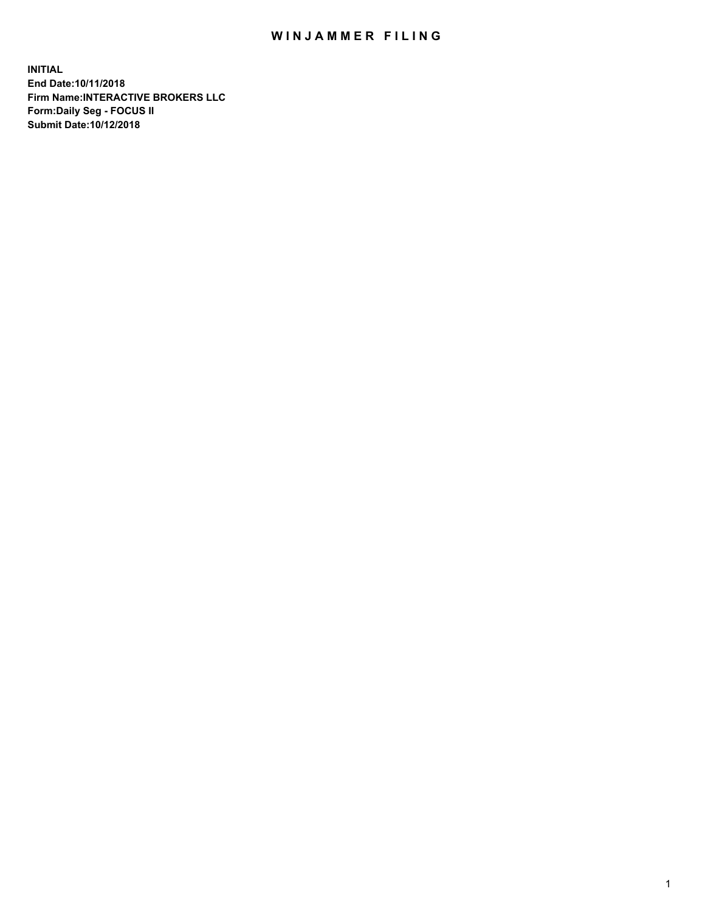## WIN JAMMER FILING

**INITIAL End Date:10/11/2018 Firm Name:INTERACTIVE BROKERS LLC Form:Daily Seg - FOCUS II Submit Date:10/12/2018**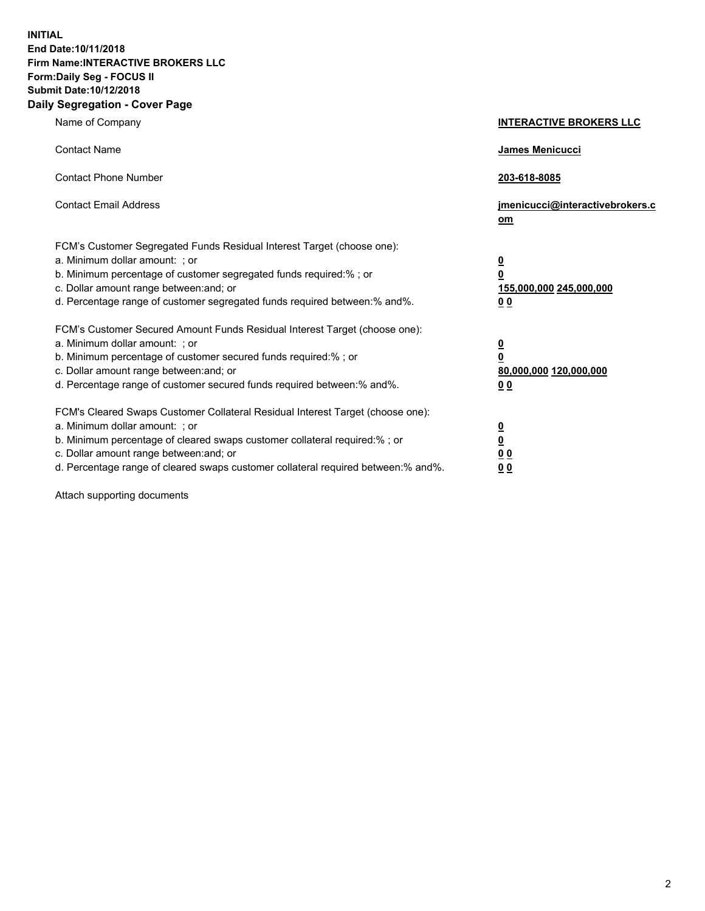**INITIAL End Date:10/11/2018 Firm Name:INTERACTIVE BROKERS LLC Form:Daily Seg - FOCUS II Submit Date:10/12/2018 Daily Segregation - Cover Page**

| Name of Company                                                                                                                                                                                                                                                                                                                | <b>INTERACTIVE BROKERS LLC</b>                                                                  |
|--------------------------------------------------------------------------------------------------------------------------------------------------------------------------------------------------------------------------------------------------------------------------------------------------------------------------------|-------------------------------------------------------------------------------------------------|
| <b>Contact Name</b>                                                                                                                                                                                                                                                                                                            | James Menicucci                                                                                 |
| <b>Contact Phone Number</b>                                                                                                                                                                                                                                                                                                    | 203-618-8085                                                                                    |
| <b>Contact Email Address</b>                                                                                                                                                                                                                                                                                                   | jmenicucci@interactivebrokers.c<br>om                                                           |
| FCM's Customer Segregated Funds Residual Interest Target (choose one):<br>a. Minimum dollar amount: ; or<br>b. Minimum percentage of customer segregated funds required:% ; or<br>c. Dollar amount range between: and; or<br>d. Percentage range of customer segregated funds required between:% and%.                         | $\overline{\mathbf{0}}$<br>$\overline{\mathbf{0}}$<br>155,000,000 245,000,000<br>0 <sub>0</sub> |
| FCM's Customer Secured Amount Funds Residual Interest Target (choose one):<br>a. Minimum dollar amount: ; or<br>b. Minimum percentage of customer secured funds required:%; or<br>c. Dollar amount range between: and; or<br>d. Percentage range of customer secured funds required between:% and%.                            | $\overline{\mathbf{0}}$<br>$\overline{\mathbf{0}}$<br>80,000,000 120,000,000<br>0 <sub>0</sub>  |
| FCM's Cleared Swaps Customer Collateral Residual Interest Target (choose one):<br>a. Minimum dollar amount: ; or<br>b. Minimum percentage of cleared swaps customer collateral required:% ; or<br>c. Dollar amount range between: and; or<br>d. Percentage range of cleared swaps customer collateral required between:% and%. | $\overline{\mathbf{0}}$<br>$\underline{\mathbf{0}}$<br>0 <sub>0</sub><br>0 <sub>0</sub>         |

Attach supporting documents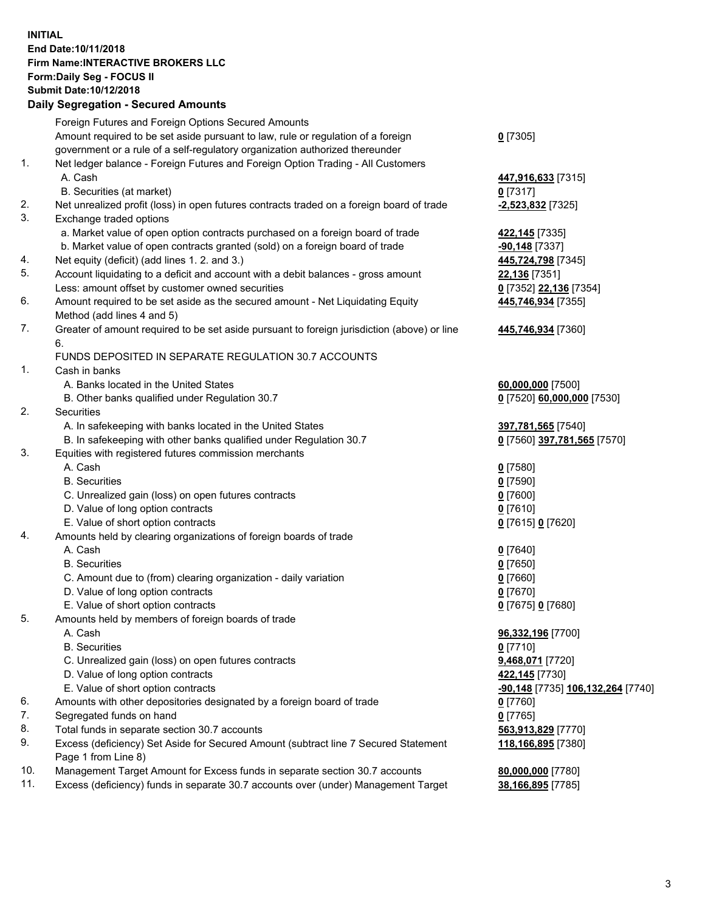## **INITIAL End Date:10/11/2018 Firm Name:INTERACTIVE BROKERS LLC Form:Daily Seg - FOCUS II Submit Date:10/12/2018**

|     | <b>Daily Segregation - Secured Amounts</b>                                                  |                                   |
|-----|---------------------------------------------------------------------------------------------|-----------------------------------|
|     | Foreign Futures and Foreign Options Secured Amounts                                         |                                   |
|     | Amount required to be set aside pursuant to law, rule or regulation of a foreign            | $0$ [7305]                        |
|     | government or a rule of a self-regulatory organization authorized thereunder                |                                   |
| 1.  | Net ledger balance - Foreign Futures and Foreign Option Trading - All Customers             |                                   |
|     | A. Cash                                                                                     | 447,916,633 [7315]                |
|     | B. Securities (at market)                                                                   | $0$ [7317]                        |
| 2.  | Net unrealized profit (loss) in open futures contracts traded on a foreign board of trade   | $-2,523,832$ [7325]               |
| 3.  | Exchange traded options                                                                     |                                   |
|     | a. Market value of open option contracts purchased on a foreign board of trade              | 422,145 [7335]                    |
|     | b. Market value of open contracts granted (sold) on a foreign board of trade                | $-90,148$ [7337]                  |
| 4.  | Net equity (deficit) (add lines 1. 2. and 3.)                                               | 445,724,798 [7345]                |
| 5.  | Account liquidating to a deficit and account with a debit balances - gross amount           | 22,136 [7351]                     |
|     | Less: amount offset by customer owned securities                                            | 0 [7352] 22,136 [7354]            |
| 6.  | Amount required to be set aside as the secured amount - Net Liquidating Equity              | 445,746,934 [7355]                |
|     | Method (add lines 4 and 5)                                                                  |                                   |
| 7.  | Greater of amount required to be set aside pursuant to foreign jurisdiction (above) or line | 445,746,934 [7360]                |
|     | 6.                                                                                          |                                   |
|     | FUNDS DEPOSITED IN SEPARATE REGULATION 30.7 ACCOUNTS                                        |                                   |
| 1.  | Cash in banks                                                                               |                                   |
|     | A. Banks located in the United States                                                       | 60,000,000 [7500]                 |
|     | B. Other banks qualified under Regulation 30.7                                              | 0 [7520] 60,000,000 [7530]        |
| 2.  | Securities                                                                                  |                                   |
|     | A. In safekeeping with banks located in the United States                                   | 397,781,565 [7540]                |
|     | B. In safekeeping with other banks qualified under Regulation 30.7                          | 0 [7560] 397,781,565 [7570]       |
| 3.  | Equities with registered futures commission merchants                                       |                                   |
|     | A. Cash                                                                                     | $0$ [7580]                        |
|     | <b>B.</b> Securities                                                                        | $0$ [7590]                        |
|     | C. Unrealized gain (loss) on open futures contracts                                         | $0$ [7600]                        |
|     | D. Value of long option contracts                                                           | $0$ [7610]                        |
|     | E. Value of short option contracts                                                          | 0 [7615] 0 [7620]                 |
| 4.  | Amounts held by clearing organizations of foreign boards of trade                           |                                   |
|     | A. Cash                                                                                     | $0$ [7640]                        |
|     | <b>B.</b> Securities                                                                        | $0$ [7650]                        |
|     | C. Amount due to (from) clearing organization - daily variation                             | $0$ [7660]                        |
|     | D. Value of long option contracts                                                           | $0$ [7670]                        |
|     | E. Value of short option contracts                                                          | 0 [7675] 0 [7680]                 |
| 5.  | Amounts held by members of foreign boards of trade                                          |                                   |
|     | A. Cash                                                                                     | 96,332,196 [7700]                 |
|     | <b>B.</b> Securities                                                                        | $0$ [7710]                        |
|     | C. Unrealized gain (loss) on open futures contracts                                         | 9,468,071 [7720]                  |
|     | D. Value of long option contracts                                                           | 422,145 [7730]                    |
|     | E. Value of short option contracts                                                          | -90,148 [7735] 106,132,264 [7740] |
| 6.  | Amounts with other depositories designated by a foreign board of trade                      | $0$ [7760]                        |
| 7.  | Segregated funds on hand                                                                    | $0$ [7765]                        |
| 8.  | Total funds in separate section 30.7 accounts                                               | 563,913,829 [7770]                |
| 9.  | Excess (deficiency) Set Aside for Secured Amount (subtract line 7 Secured Statement         | 118,166,895 [7380]                |
| 10. | Page 1 from Line 8)                                                                         |                                   |
| 11. | Management Target Amount for Excess funds in separate section 30.7 accounts                 | 80,000,000 [7780]                 |
|     | Excess (deficiency) funds in separate 30.7 accounts over (under) Management Target          | 38,166,895 [7785]                 |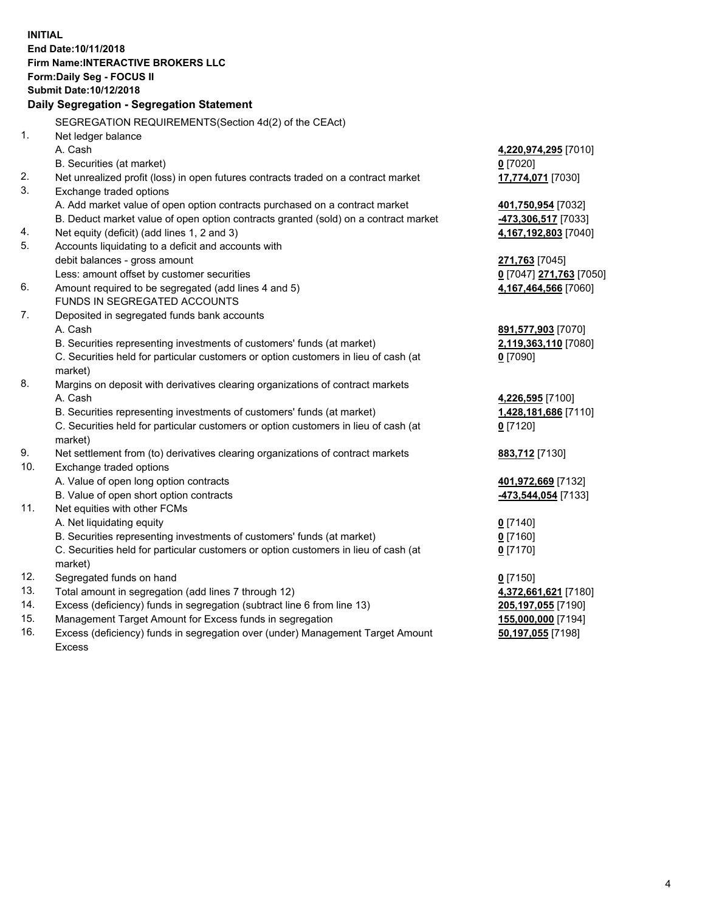**INITIAL End Date:10/11/2018 Firm Name:INTERACTIVE BROKERS LLC Form:Daily Seg - FOCUS II Submit Date:10/12/2018 Daily Segregation - Segregation Statement** SEGREGATION REQUIREMENTS(Section 4d(2) of the CEAct) 1. Net ledger balance A. Cash **4,220,974,295** [7010] B. Securities (at market) **0** [7020] 2. Net unrealized profit (loss) in open futures contracts traded on a contract market **17,774,071** [7030] 3. Exchange traded options A. Add market value of open option contracts purchased on a contract market **401,750,954** [7032] B. Deduct market value of open option contracts granted (sold) on a contract market **-473,306,517** [7033] 4. Net equity (deficit) (add lines 1, 2 and 3) **4,167,192,803** [7040] 5. Accounts liquidating to a deficit and accounts with debit balances - gross amount **271,763** [7045] Less: amount offset by customer securities **0** [7047] **271,763** [7050] 6. Amount required to be segregated (add lines 4 and 5) **4,167,464,566** [7060] FUNDS IN SEGREGATED ACCOUNTS 7. Deposited in segregated funds bank accounts A. Cash **891,577,903** [7070] B. Securities representing investments of customers' funds (at market) **2,119,363,110** [7080] C. Securities held for particular customers or option customers in lieu of cash (at market) **0** [7090] 8. Margins on deposit with derivatives clearing organizations of contract markets A. Cash **4,226,595** [7100] B. Securities representing investments of customers' funds (at market) **1,428,181,686** [7110] C. Securities held for particular customers or option customers in lieu of cash (at market) **0** [7120] 9. Net settlement from (to) derivatives clearing organizations of contract markets **883,712** [7130] 10. Exchange traded options A. Value of open long option contracts **401,972,669** [7132] B. Value of open short option contracts **-473,544,054** [7133] 11. Net equities with other FCMs A. Net liquidating equity **0** [7140] B. Securities representing investments of customers' funds (at market) **0** [7160] C. Securities held for particular customers or option customers in lieu of cash (at market) **0** [7170] 12. Segregated funds on hand **0** [7150] 13. Total amount in segregation (add lines 7 through 12) **4,372,661,621** [7180] 14. Excess (deficiency) funds in segregation (subtract line 6 from line 13) **205,197,055** [7190] 15. Management Target Amount for Excess funds in segregation **155,000,000** [7194] **50,197,055** [7198]

16. Excess (deficiency) funds in segregation over (under) Management Target Amount Excess